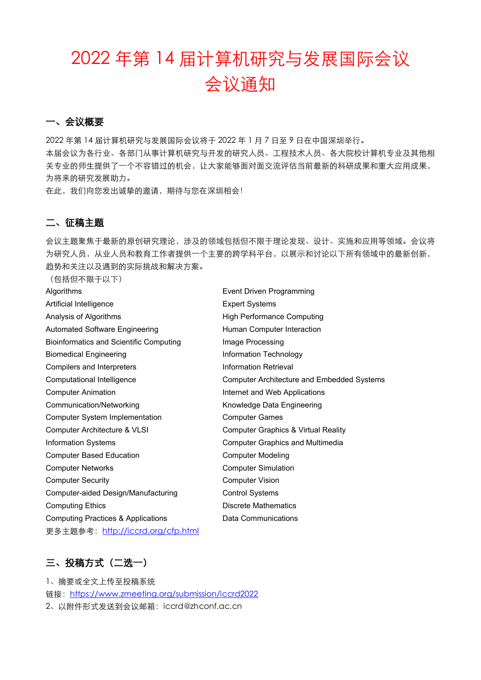# 2022 年第 14 届计算机研究与发展国际会议 会议通知

#### 一、会议概要

2022 年第 14 届计算机研究与发展国际会议将于 2022 年 1 月 7 日至 9 日在中国深圳举行。 本届会议为各行业、各部门从事计算机研究与开发的研究人员、工程技术人员、各大院校计算机专业及其他相 关专业的师生提供了一个不容错过的机会,让大家能够面对面交流评估当前最新的科研成果和重大应用成果, 为将来的研究发展助力。

在此,我们向您发出诚挚的邀请,期待与您在深圳相会!

#### 二、征稿主题

会议主题聚焦于最新的原创研究理论,涉及的领域包括但不限于理论发现、设计、实施和应用等领域。会议将 为研究人员,从业人员和教育工作者提供一个主要的跨学科平台,以展示和讨论以下所有领域中的最新创新, 趋势和关注以及遇到的实际挑战和解决方案。

(包括但不限于以下)

| Algorithms                                     | Event Driven Programming                          |  |
|------------------------------------------------|---------------------------------------------------|--|
| Artificial Intelligence                        | <b>Expert Systems</b>                             |  |
| Analysis of Algorithms                         | <b>High Performance Computing</b>                 |  |
| <b>Automated Software Engineering</b>          | Human Computer Interaction                        |  |
| <b>Bioinformatics and Scientific Computing</b> | Image Processing                                  |  |
| <b>Biomedical Engineering</b>                  | Information Technology                            |  |
| Compilers and Interpreters                     | <b>Information Retrieval</b>                      |  |
| Computational Intelligence                     | <b>Computer Architecture and Embedded Systems</b> |  |
| <b>Computer Animation</b>                      | Internet and Web Applications                     |  |
| Communication/Networking                       | Knowledge Data Engineering                        |  |
| <b>Computer System Implementation</b>          | <b>Computer Games</b>                             |  |
| Computer Architecture & VLSI                   | <b>Computer Graphics &amp; Virtual Reality</b>    |  |
| <b>Information Systems</b>                     | <b>Computer Graphics and Multimedia</b>           |  |
| <b>Computer Based Education</b>                | <b>Computer Modeling</b>                          |  |
| <b>Computer Networks</b>                       | <b>Computer Simulation</b>                        |  |
| <b>Computer Security</b>                       | <b>Computer Vision</b>                            |  |
| Computer-aided Design/Manufacturing            | <b>Control Systems</b>                            |  |
| <b>Computing Ethics</b>                        | <b>Discrete Mathematics</b>                       |  |
| <b>Computing Practices &amp; Applications</b>  | Data Communications                               |  |
| 更多主题参考: http://iccrd.org/cfp.html              |                                                   |  |

### 三、投稿方式(二选一)

1、摘要或全文上传至投稿系统 链接: <https://www.zmeeting.org/submission/iccrd2022> 2、以附件形式发送到会议邮箱:iccrd@zhconf.ac.cn